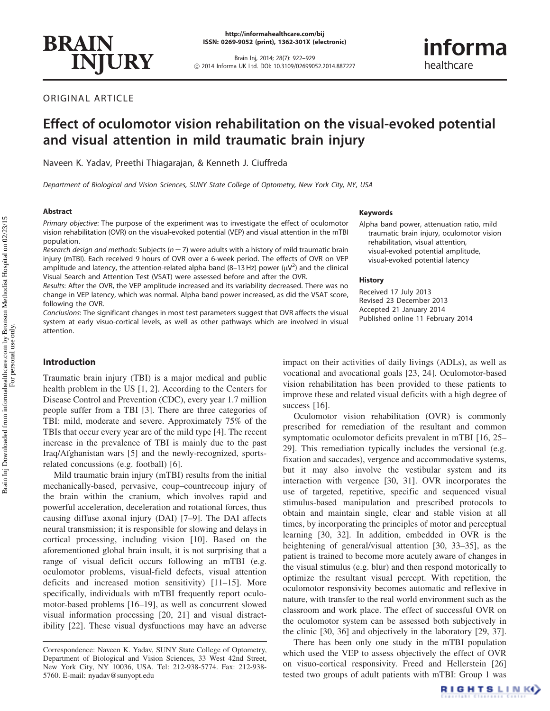# **BRAIN INJURY**

http://informahealthcare.com/bij ISSN: 0269-9052 (print), 1362-301X (electronic)

Brain Inj, 2014; 28(7): 922–929 ! 2014 Informa UK Ltd. DOI: 10.3109/02699052.2014.887227 informa healthcare

# ORIGINAL ARTICLE

# Effect of oculomotor vision rehabilitation on the visual-evoked potential and visual attention in mild traumatic brain injury

Naveen K. Yadav, Preethi Thiagarajan, & Kenneth J. Ciuffreda

Department of Biological and Vision Sciences, SUNY State College of Optometry, New York City, NY, USA

#### Abstract

Primary objective: The purpose of the experiment was to investigate the effect of oculomotor vision rehabilitation (OVR) on the visual-evoked potential (VEP) and visual attention in the mTBI population.

Research design and methods: Subjects ( $n = 7$ ) were adults with a history of mild traumatic brain injury (mTBI). Each received 9 hours of OVR over a 6-week period. The effects of OVR on VEP amplitude and latency, the attention-related alpha band (8–13 Hz) power ( $\mu$ V<sup>2</sup>) and the clinical Visual Search and Attention Test (VSAT) were assessed before and after the OVR.

Results: After the OVR, the VEP amplitude increased and its variability decreased. There was no change in VEP latency, which was normal. Alpha band power increased, as did the VSAT score, following the OVR.

Conclusions: The significant changes in most test parameters suggest that OVR affects the visual system at early visuo-cortical levels, as well as other pathways which are involved in visual attention.

# Introduction

Traumatic brain injury (TBI) is a major medical and public health problem in the US [\[1](#page-5-0), [2\]](#page-5-0). According to the Centers for Disease Control and Prevention (CDC), every year 1.7 million people suffer from a TBI [[3\]](#page-5-0). There are three categories of TBI: mild, moderate and severe. Approximately 75% of the TBIs that occur every year are of the mild type [\[4](#page-5-0)]. The recent increase in the prevalence of TBI is mainly due to the past Iraq/Afghanistan wars [[5\]](#page-5-0) and the newly-recognized, sportsrelated concussions (e.g. football) [[6\]](#page-5-0).

Mild traumatic brain injury (mTBI) results from the initial mechanically-based, pervasive, coup–countrecoup injury of the brain within the cranium, which involves rapid and powerful acceleration, deceleration and rotational forces, thus causing diffuse axonal injury (DAI) [[7–9\]](#page-6-0). The DAI affects neural transmission; it is responsible for slowing and delays in cortical processing, including vision [\[10](#page-6-0)]. Based on the aforementioned global brain insult, it is not surprising that a range of visual deficit occurs following an mTBI (e.g. oculomotor problems, visual-field defects, visual attention deficits and increased motion sensitivity) [\[11–15](#page-6-0)]. More specifically, individuals with mTBI frequently report oculomotor-based problems [\[16–19](#page-6-0)], as well as concurrent slowed visual information processing [\[20](#page-6-0), [21\]](#page-6-0) and visual distractibility [\[22](#page-6-0)]. These visual dysfunctions may have an adverse

#### Keywords

Alpha band power, attenuation ratio, mild traumatic brain injury, oculomotor vision rehabilitation, visual attention, visual-evoked potential amplitude, visual-evoked potential latency

#### **History**

Received 17 July 2013 Revised 23 December 2013 Accepted 21 January 2014 Published online 11 February 2014

impact on their activities of daily livings (ADLs), as well as vocational and avocational goals [[23, 24\]](#page-6-0). Oculomotor-based vision rehabilitation has been provided to these patients to improve these and related visual deficits with a high degree of success [\[16](#page-6-0)].

Oculomotor vision rehabilitation (OVR) is commonly prescribed for remediation of the resultant and common symptomatic oculomotor deficits prevalent in mTBI [\[16](#page-6-0), [25–](#page-6-0) [29\]](#page-6-0). This remediation typically includes the versional (e.g. fixation and saccades), vergence and accommodative systems, but it may also involve the vestibular system and its interaction with vergence [\[30](#page-6-0), [31](#page-6-0)]. OVR incorporates the use of targeted, repetitive, specific and sequenced visual stimulus-based manipulation and prescribed protocols to obtain and maintain single, clear and stable vision at all times, by incorporating the principles of motor and perceptual learning [[30, 32\]](#page-6-0). In addition, embedded in OVR is the heightening of general/visual attention [\[30](#page-6-0), [33–35\]](#page-6-0), as the patient is trained to become more acutely aware of changes in the visual stimulus (e.g. blur) and then respond motorically to optimize the resultant visual percept. With repetition, the oculomotor responsivity becomes automatic and reflexive in nature, with transfer to the real world environment such as the classroom and work place. The effect of successful OVR on the oculomotor system can be assessed both subjectively in the clinic [\[30](#page-6-0), [36](#page-6-0)] and objectively in the laboratory [\[29](#page-6-0), [37](#page-6-0)].

There has been only one study in the mTBI population which used the VEP to assess objectively the effect of OVR on visuo-cortical responsivity. Freed and Hellerstein [[26\]](#page-6-0) tested two groups of adult patients with mTBI: Group 1 was

RIGHTSLINK()

Correspondence: Naveen K. Yadav, SUNY State College of Optometry, Department of Biological and Vision Sciences, 33 West 42nd Street, New York City, NY 10036, USA. Tel: 212-938-5774. Fax: 212-938- 5760. E-mail: nyadav@sunyopt.edu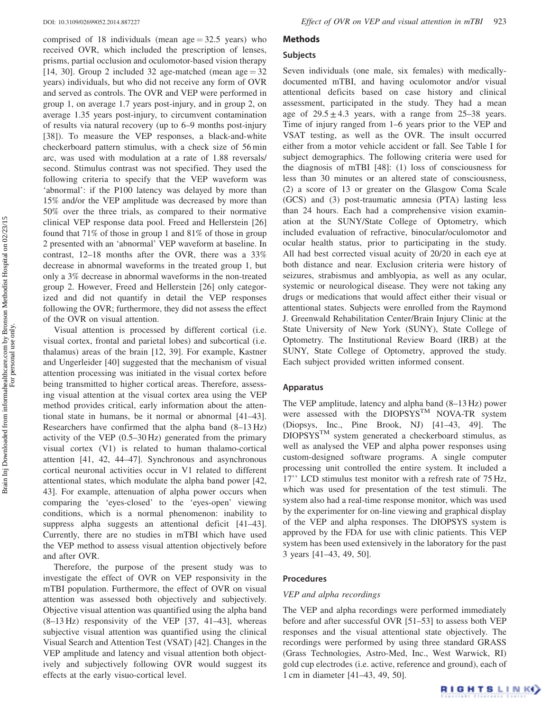comprised of 18 individuals (mean  $age = 32.5$  years) who received OVR, which included the prescription of lenses, prisms, partial occlusion and oculomotor-based vision therapy [\[14](#page-6-0), [30](#page-6-0)]. Group 2 included 32 age-matched (mean  $age = 32$ years) individuals, but who did not receive any form of OVR and served as controls. The OVR and VEP were performed in group 1, on average 1.7 years post-injury, and in group 2, on average 1.35 years post-injury, to circumvent contamination of results via natural recovery (up to 6–9 months post-injury [\[38](#page-6-0)]). To measure the VEP responses, a black-and-white checkerboard pattern stimulus, with a check size of 56 min arc, was used with modulation at a rate of 1.88 reversals/ second. Stimulus contrast was not specified. They used the following criteria to specify that the VEP waveform was 'abnormal': if the P100 latency was delayed by more than 15% and/or the VEP amplitude was decreased by more than 50% over the three trials, as compared to their normative clinical VEP response data pool. Freed and Hellerstein [[26\]](#page-6-0) found that 71% of those in group 1 and 81% of those in group 2 presented with an 'abnormal' VEP waveform at baseline. In contrast, 12–18 months after the OVR, there was a 33% decrease in abnormal waveforms in the treated group 1, but only a 3% decrease in abnormal waveforms in the non-treated group 2. However, Freed and Hellerstein [[26\]](#page-6-0) only categorized and did not quantify in detail the VEP responses following the OVR; furthermore, they did not assess the effect of the OVR on visual attention.

Visual attention is processed by different cortical (i.e. visual cortex, frontal and parietal lobes) and subcortical (i.e. thalamus) areas of the brain [\[12](#page-6-0), [39\]](#page-6-0). For example, Kastner and Ungerleider [\[40](#page-6-0)] suggested that the mechanism of visual attention processing was initiated in the visual cortex before being transmitted to higher cortical areas. Therefore, assessing visual attention at the visual cortex area using the VEP method provides critical, early information about the attentional state in humans, be it normal or abnormal [\[41–43](#page-6-0)]. Researchers have confirmed that the alpha band (8–13 Hz) activity of the VEP (0.5–30 Hz) generated from the primary visual cortex (V1) is related to human thalamo-cortical attention [[41, 42, 44–47\]](#page-6-0). Synchronous and asynchronous cortical neuronal activities occur in V1 related to different attentional states, which modulate the alpha band power [\[42](#page-6-0), [43\]](#page-6-0). For example, attenuation of alpha power occurs when comparing the 'eyes-closed' to the 'eyes-open' viewing conditions, which is a normal phenomenon: inability to suppress alpha suggests an attentional deficit [\[41–43](#page-6-0)]. Currently, there are no studies in mTBI which have used the VEP method to assess visual attention objectively before and after OVR.

Therefore, the purpose of the present study was to investigate the effect of OVR on VEP responsivity in the mTBI population. Furthermore, the effect of OVR on visual attention was assessed both objectively and subjectively. Objective visual attention was quantified using the alpha band  $(8-13 \text{ Hz})$  responsivity of the VEP [\[37](#page-6-0), [41–43\]](#page-6-0), whereas subjective visual attention was quantified using the clinical Visual Search and Attention Test (VSAT) [[42\]](#page-6-0). Changes in the VEP amplitude and latency and visual attention both objectively and subjectively following OVR would suggest its effects at the early visuo-cortical level.

# Methods

#### Subjects

Seven individuals (one male, six females) with medicallydocumented mTBI, and having oculomotor and/or visual attentional deficits based on case history and clinical assessment, participated in the study. They had a mean age of  $29.5 \pm 4.3$  years, with a range from  $25-38$  years. Time of injury ranged from 1–6 years prior to the VEP and VSAT testing, as well as the OVR. The insult occurred either from a motor vehicle accident or fall. See [Table I](#page-2-0) for subject demographics. The following criteria were used for the diagnosis of mTBI [[48](#page-6-0)]: (1) loss of consciousness for less than 30 minutes or an altered state of consciousness, (2) a score of 13 or greater on the Glasgow Coma Scale (GCS) and (3) post-traumatic amnesia (PTA) lasting less than 24 hours. Each had a comprehensive vision examination at the SUNY/State College of Optometry, which included evaluation of refractive, binocular/oculomotor and ocular health status, prior to participating in the study. All had best corrected visual acuity of 20/20 in each eye at both distance and near. Exclusion criteria were history of seizures, strabismus and amblyopia, as well as any ocular, systemic or neurological disease. They were not taking any drugs or medications that would affect either their visual or attentional states. Subjects were enrolled from the Raymond J. Greenwald Rehabilitation Center/Brain Injury Clinic at the State University of New York (SUNY), State College of Optometry. The Institutional Review Board (IRB) at the SUNY, State College of Optometry, approved the study. Each subject provided written informed consent.

# Apparatus

The VEP amplitude, latency and alpha band (8–13 Hz) power were assessed with the  $DIOPSYS^{TM}$  NOVA-TR system (Diopsys, Inc., Pine Brook, NJ) [[41–43, 49](#page-6-0)]. The DIOPSYSTM system generated a checkerboard stimulus, as well as analysed the VEP and alpha power responses using custom-designed software programs. A single computer processing unit controlled the entire system. It included a 17'' LCD stimulus test monitor with a refresh rate of 75 Hz, which was used for presentation of the test stimuli. The system also had a real-time response monitor, which was used by the experimenter for on-line viewing and graphical display of the VEP and alpha responses. The DIOPSYS system is approved by the FDA for use with clinic patients. This VEP system has been used extensively in the laboratory for the past 3 years [[41–43, 49](#page-6-0), [50](#page-6-0)].

### Procedures

# VEP and alpha recordings

The VEP and alpha recordings were performed immediately before and after successful OVR [[51–53](#page-6-0)] to assess both VEP responses and the visual attentional state objectively. The recordings were performed by using three standard GRASS (Grass Technologies, Astro-Med, Inc., West Warwick, RI) gold cup electrodes (i.e. active, reference and ground), each of 1 cm in diameter [[41–43, 49, 50](#page-6-0)].

For personal use only.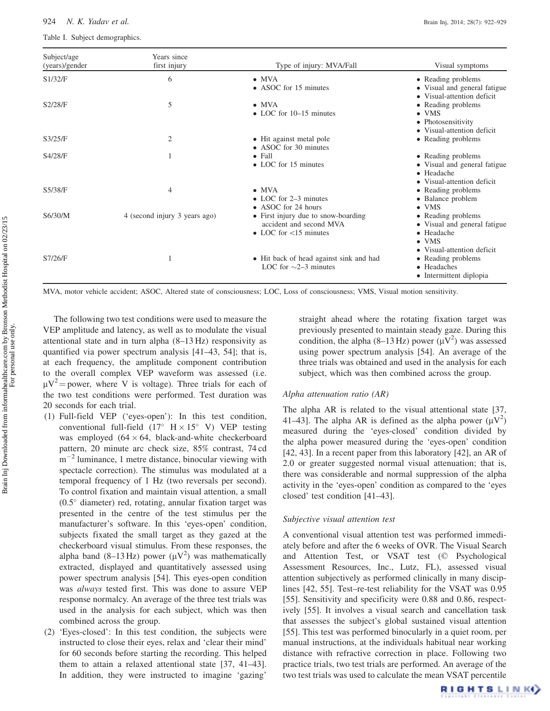<span id="page-2-0"></span>

|  |  | Table I. Subject demographics. |
|--|--|--------------------------------|
|--|--|--------------------------------|

| Subject/age<br>(years)/gender | Years since<br>first injury   | Type of injury: MVA/Fall                                                                     | Visual symptoms                                                                                                 |
|-------------------------------|-------------------------------|----------------------------------------------------------------------------------------------|-----------------------------------------------------------------------------------------------------------------|
| S1/32/F                       | 6                             | $\bullet$ MVA<br>• ASOC for 15 minutes                                                       | • Reading problems<br>• Visual and general fatigue<br>• Visual-attention deficit                                |
| S2/28/F                       | 5                             | $\bullet$ MVA<br>• LOC for $10-15$ minutes                                                   | • Reading problems<br>$\bullet$ VMS<br>• Photosensitivity<br>• Visual-attention deficit                         |
| S3/25/F                       | $\overline{c}$                | • Hit against metal pole<br>• ASOC for 30 minutes                                            | • Reading problems                                                                                              |
| S4/28/F                       |                               | $\bullet$ Fall<br>• LOC for 15 minutes                                                       | • Reading problems<br>• Visual and general fatigue<br>• Headache<br>• Visual-attention deficit                  |
| S5/38/F                       | 4                             | $\bullet$ MVA<br>$\bullet$ LOC for 2–3 minutes<br>• ASOC for 24 hours                        | • Reading problems<br>• Balance problem<br>$\bullet$ VMS                                                        |
| S6/30/M                       | 4 (second injury 3 years ago) | • First injury due to snow-boarding<br>accident and second MVA<br>• LOC for $\lt 15$ minutes | • Reading problems<br>• Visual and general fatigue<br>• Headache<br>$\bullet$ VMS<br>• Visual-attention deficit |
| S7/26/F                       |                               | • Hit back of head against sink and had<br>LOC for $\sim$ 2–3 minutes                        | • Reading problems<br>• Headaches<br>• Intermittent diplopia                                                    |

MVA, motor vehicle accident; ASOC, Altered state of consciousness; LOC, Loss of consciousness; VMS, Visual motion sensitivity.

The following two test conditions were used to measure the VEP amplitude and latency, as well as to modulate the visual attentional state and in turn alpha (8–13 Hz) responsivity as quantified via power spectrum analysis [[41–43,](#page-6-0) [54\]](#page-7-0); that is, at each frequency, the amplitude component contribution to the overall complex VEP waveform was assessed (i.e.  $\mu V^2$  = power, where V is voltage). Three trials for each of the two test conditions were performed. Test duration was 20 seconds for each trial.

- (1) Full-field VEP ('eyes-open'): In this test condition, conventional full-field  $(17^{\circ} \text{ H} \times 15^{\circ} \text{ V})$  VEP testing was employed  $(64 \times 64, \text{ black-and-white checkerboard})$ pattern, 20 minute arc check size, 85% contrast, 74 cd  $m^{-2}$  luminance, 1 metre distance, binocular viewing with spectacle correction). The stimulus was modulated at a temporal frequency of 1 Hz (two reversals per second). To control fixation and maintain visual attention, a small (0.5- diameter) red, rotating, annular fixation target was presented in the centre of the test stimulus per the manufacturer's software. In this 'eyes-open' condition, subjects fixated the small target as they gazed at the checkerboard visual stimulus. From these responses, the alpha band (8–13 Hz) power  $(\mu V^2)$  was mathematically extracted, displayed and quantitatively assessed using power spectrum analysis [\[54](#page-7-0)]. This eyes-open condition was always tested first. This was done to assure VEP response normalcy. An average of the three test trials was used in the analysis for each subject, which was then combined across the group.
- (2) 'Eyes-closed': In this test condition, the subjects were instructed to close their eyes, relax and 'clear their mind' for 60 seconds before starting the recording. This helped them to attain a relaxed attentional state [[37, 41–43](#page-6-0)]. In addition, they were instructed to imagine 'gazing'

straight ahead where the rotating fixation target was previously presented to maintain steady gaze. During this condition, the alpha (8–13 Hz) power  $(\mu V^2)$  was assessed using power spectrum analysis [\[54](#page-7-0)]. An average of the three trials was obtained and used in the analysis for each subject, which was then combined across the group.

#### Alpha attenuation ratio (AR)

The alpha AR is related to the visual attentional state [\[37](#page-6-0), [41–43\]](#page-6-0). The alpha AR is defined as the alpha power  $(\mu V^2)$ measured during the 'eyes-closed' condition divided by the alpha power measured during the 'eyes-open' condition [\[42](#page-6-0), [43](#page-6-0)]. In a recent paper from this laboratory [[42\]](#page-6-0), an AR of 2.0 or greater suggested normal visual attenuation; that is, there was considerable and normal suppression of the alpha activity in the 'eyes-open' condition as compared to the 'eyes closed' test condition [\[41–43](#page-6-0)].

#### Subjective visual attention test

A conventional visual attention test was performed immediately before and after the 6 weeks of OVR. The Visual Search and Attention Test, or VSAT test (© Psychological Assessment Resources, Inc., Lutz, FL), assessed visual attention subjectively as performed clinically in many disciplines [\[42](#page-6-0), [55](#page-7-0)]. Test–re-test reliability for the VSAT was 0.95 [\[55](#page-7-0)]. Sensitivity and specificity were 0.88 and 0.86, respectively [[55\]](#page-7-0). It involves a visual search and cancellation task that assesses the subject's global sustained visual attention [\[55](#page-7-0)]. This test was performed binocularly in a quiet room, per manual instructions, at the individuals habitual near working distance with refractive correction in place. Following two practice trials, two test trials are performed. An average of the two test trials was used to calculate the mean VSAT percentile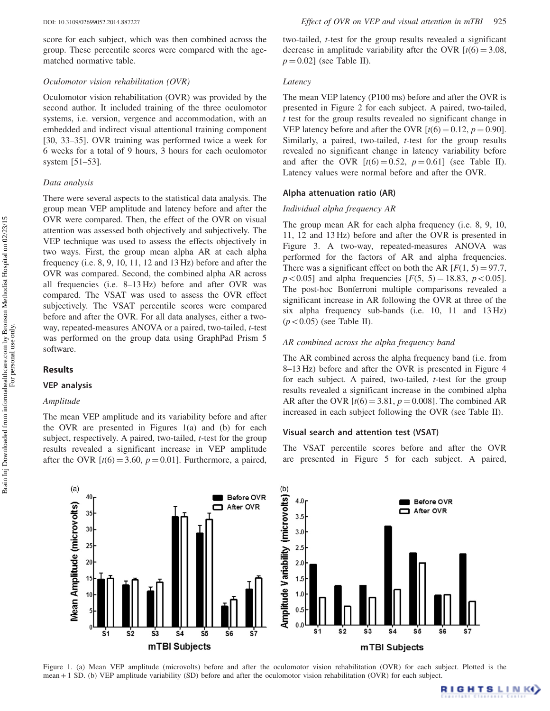score for each subject, which was then combined across the group. These percentile scores were compared with the agematched normative table.

# Oculomotor vision rehabilitation (OVR)

Oculomotor vision rehabilitation (OVR) was provided by the second author. It included training of the three oculomotor systems, i.e. version, vergence and accommodation, with an embedded and indirect visual attentional training component [\[30](#page-6-0), [33–35](#page-6-0)]. OVR training was performed twice a week for 6 weeks for a total of 9 hours, 3 hours for each oculomotor system [\[51–53\]](#page-6-0).

# Data analysis

There were several aspects to the statistical data analysis. The group mean VEP amplitude and latency before and after the OVR were compared. Then, the effect of the OVR on visual attention was assessed both objectively and subjectively. The VEP technique was used to assess the effects objectively in two ways. First, the group mean alpha AR at each alpha frequency (i.e. 8, 9, 10, 11, 12 and 13 Hz) before and after the OVR was compared. Second, the combined alpha AR across all frequencies (i.e. 8–13 Hz) before and after OVR was compared. The VSAT was used to assess the OVR effect subjectively. The VSAT percentile scores were compared before and after the OVR. For all data analyses, either a twoway, repeated-measures ANOVA or a paired, two-tailed, t-test was performed on the group data using GraphPad Prism 5 software.

# Results

# VEP analysis

### Amplitude

The mean VEP amplitude and its variability before and after the OVR are presented in Figures 1(a) and (b) for each subject, respectively. A paired, two-tailed, t-test for the group results revealed a significant increase in VEP amplitude after the OVR  $[t(6) = 3.60, p = 0.01]$ . Furthermore, a paired,

two-tailed, t-test for the group results revealed a significant decrease in amplitude variability after the OVR  $[t(6) = 3.08]$ ,  $p = 0.02$ ] (see [Table II\)](#page-4-0).

#### Latency

The mean VEP latency (P100 ms) before and after the OVR is presented in [Figure 2](#page-4-0) for each subject. A paired, two-tailed, t test for the group results revealed no significant change in VEP latency before and after the OVR  $[t(6) = 0.12, p = 0.90]$ . Similarly, a paired, two-tailed, t-test for the group results revealed no significant change in latency variability before and after the OVR  $[t(6) = 0.52, p = 0.61]$  (see [Table II](#page-4-0)). Latency values were normal before and after the OVR.

#### Alpha attenuation ratio (AR)

#### Individual alpha frequency AR

The group mean AR for each alpha frequency (i.e. 8, 9, 10, 11, 12 and 13 Hz) before and after the OVR is presented in [Figure 3.](#page-4-0) A two-way, repeated-measures ANOVA was performed for the factors of AR and alpha frequencies. There was a significant effect on both the AR  $[F(1, 5) = 97.7]$ ,  $p<0.05$ ] and alpha frequencies [F(5, 5) = 18.83,  $p<0.05$ ]. The post-hoc Bonferroni multiple comparisons revealed a significant increase in AR following the OVR at three of the six alpha frequency sub-bands (i.e. 10, 11 and 13 Hz)  $(p<0.05)$  (see [Table II](#page-4-0)).

### AR combined across the alpha frequency band

The AR combined across the alpha frequency band (i.e. from 8–13 Hz) before and after the OVR is presented in [Figure 4](#page-5-0) for each subject. A paired, two-tailed, t-test for the group results revealed a significant increase in the combined alpha AR after the OVR  $[t(6) = 3.81, p = 0.008]$ . The combined AR increased in each subject following the OVR (see [Table II](#page-4-0)).

# Visual search and attention test (VSAT)

The VSAT percentile scores before and after the OVR are presented in [Figure 5](#page-5-0) for each subject. A paired,



Figure 1. (a) Mean VEP amplitude (microvolts) before and after the oculomotor vision rehabilitation (OVR) for each subject. Plotted is the mean + 1 SD. (b) VEP amplitude variability (SD) before and after the oculomotor vision rehabilitation (OVR) for each subject.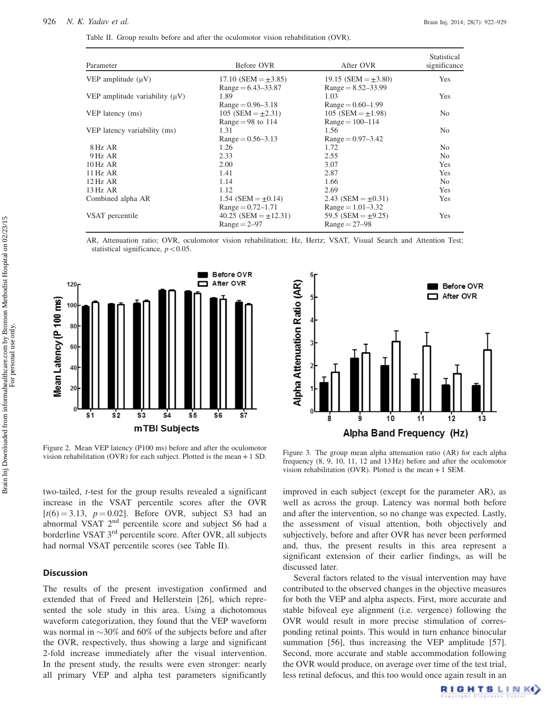<span id="page-4-0"></span>

| Parameter                           | Before OVR                | After OVR                 | Statistical<br>significance |
|-------------------------------------|---------------------------|---------------------------|-----------------------------|
| VEP amplitude $(\mu V)$             | 17.10 (SEM $= \pm 3.85$ ) | 19.15 (SEM $= \pm 3.80$ ) | <b>Yes</b>                  |
|                                     | $Range = 6.43 - 33.87$    | $Range = 8.52 - 33.99$    |                             |
| VEP amplitude variability $(\mu V)$ | 1.89                      | 1.03                      | <b>Yes</b>                  |
|                                     | $Range = 0.96 - 3.18$     | $Range = 0.60 - 1.99$     |                             |
| VEP latency (ms)                    | 105 (SEM = $\pm 2.31$ )   | 105 (SEM $= \pm 1.98$ )   | N <sub>o</sub>              |
|                                     | Range = $98$ to 114       | $Range = 100 - 114$       |                             |
| VEP latency variability (ms)        | 1.31                      | 1.56                      | No.                         |
|                                     | $Range = 0.56 - 3.13$     | $Range = 0.97 - 3.42$     |                             |
| 8 Hz AR                             | 1.26                      | 1.72                      | N <sub>o</sub>              |
| 9 Hz AR                             | 2.33                      | 2.55                      | No.                         |
| $10\,\mathrm{Hz}$ AR                | 2.00                      | 3.07                      | <b>Yes</b>                  |
| $11\,\mathrm{Hz}$ AR                | 1.41                      | 2.87                      | <b>Yes</b>                  |
| $12 \text{ Hz AR}$                  | 1.14                      | 1.66                      | N <sub>o</sub>              |
| $13 \text{ Hz AR}$                  | 1.12                      | 2.69                      | <b>Yes</b>                  |
| Combined alpha AR                   | 1.54 (SEM $= \pm 0.14$ )  | 2.43 (SEM $= \pm 0.31$ )  | <b>Yes</b>                  |
|                                     | $Range = 0.72 - 1.71$     | $Range = 1.01 - 3.32$     |                             |
| VSAT percentile                     | 40.25 (SEM = $\pm$ 12.31) | 59.5 (SEM $= \pm 9.25$ )  | Yes                         |
|                                     | $Range = 2-97$            | $Range = 27-98$           |                             |
|                                     |                           |                           |                             |

AR, Attenuation ratio; OVR, oculomotor vision rehabilitation; Hz, Hertz; VSAT, Visual Search and Attention Test; statistical significance,  $p < 0.05$ .





Figure 2. Mean VEP latency (P100 ms) before and after the oculomotor vision rehabilitation (OVR) for each subject. Plotted is the mean  $+1$  SD. Figure 3. The group mean alpha attenuation ratio (AR) for each alpha vision rehabilitation (OVR) for each subject. Plotted is the mean  $+1$  SD.

frequency (8, 9, 10, 11, 12 and 13 Hz) before and after the oculomotor vision rehabilitation (OVR). Plotted is the mean + 1 SEM.

two-tailed, t-test for the group results revealed a significant increase in the VSAT percentile scores after the OVR  $[t(6) = 3.13, p = 0.02]$ . Before OVR, subject S3 had an abnormal VSAT 2<sup>nd</sup> percentile score and subject S6 had a borderline VSAT 3<sup>rd</sup> percentile score. After OVR, all subjects had normal VSAT percentile scores (see Table II).

# **Discussion**

The results of the present investigation confirmed and extended that of Freed and Hellerstein [[26\]](#page-6-0), which represented the sole study in this area. Using a dichotomous waveform categorization, they found that the VEP waveform was normal in  $\sim$ 30% and 60% of the subjects before and after the OVR, respectively, thus showing a large and significant 2-fold increase immediately after the visual intervention. In the present study, the results were even stronger: nearly all primary VEP and alpha test parameters significantly

improved in each subject (except for the parameter AR), as well as across the group. Latency was normal both before and after the intervention, so no change was expected. Lastly, the assessment of visual attention, both objectively and subjectively, before and after OVR has never been performed and, thus, the present results in this area represent a significant extension of their earlier findings, as will be discussed later.

Several factors related to the visual intervention may have contributed to the observed changes in the objective measures for both the VEP and alpha aspects. First, more accurate and stable bifoveal eye alignment (i.e. vergence) following the OVR would result in more precise stimulation of corresponding retinal points. This would in turn enhance binocular summation [[56\]](#page-7-0), thus increasing the VEP amplitude [\[57](#page-7-0)]. Second, more accurate and stable accommodation following the OVR would produce, on average over time of the test trial, less retinal defocus, and this too would once again result in an

RIGHTSLINK()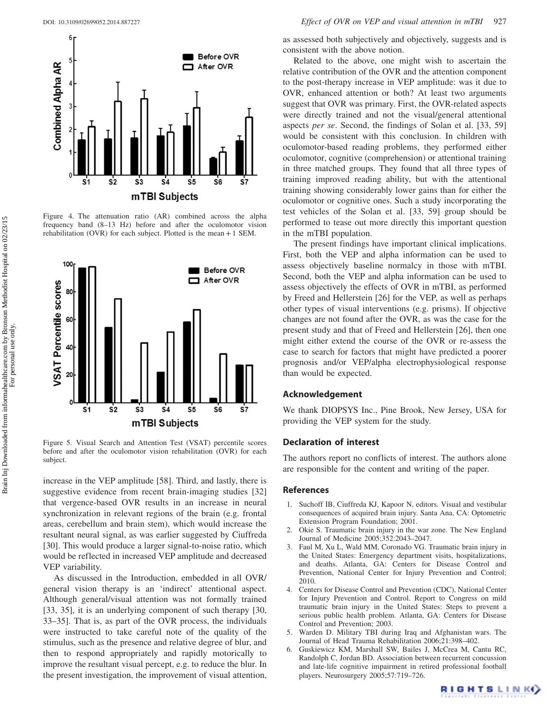<span id="page-5-0"></span>

Figure 4. The attenuation ratio (AR) combined across the alpha frequency band (8–13 Hz) before and after the oculomotor vision rehabilitation (OVR) for each subject. Plotted is the mean + 1 SEM.



Figure 5. Visual Search and Attention Test (VSAT) percentile scores before and after the oculomotor vision rehabilitation (OVR) for each subject.

increase in the VEP amplitude [[58\]](#page-7-0). Third, and lastly, there is suggestive evidence from recent brain-imaging studies [[32\]](#page-6-0) that vergence-based OVR results in an increase in neural synchronization in relevant regions of the brain (e.g. frontal areas, cerebellum and brain stem), which would increase the resultant neural signal, as was earlier suggested by Ciuffreda [\[30](#page-6-0)]. This would produce a larger signal-to-noise ratio, which would be reflected in increased VEP amplitude and decreased VEP variability.

As discussed in the Introduction, embedded in all OVR/ general vision therapy is an 'indirect' attentional aspect. Although general/visual attention was not formally trained [\[33](#page-6-0), [35](#page-6-0)], it is an underlying component of such therapy [\[30](#page-6-0), [33–35\]](#page-6-0). That is, as part of the OVR process, the individuals were instructed to take careful note of the quality of the stimulus, such as the presence and relative degree of blur, and then to respond appropriately and rapidly motorically to improve the resultant visual percept, e.g. to reduce the blur. In the present investigation, the improvement of visual attention,

as assessed both subjectively and objectively, suggests and is consistent with the above notion.

Related to the above, one might wish to ascertain the relative contribution of the OVR and the attention component to the post-therapy increase in VEP amplitude: was it due to OVR, enhanced attention or both? At least two arguments suggest that OVR was primary. First, the OVR-related aspects were directly trained and not the visual/general attentional aspects per se. Second, the findings of Solan et al. [\[33](#page-6-0), [59\]](#page-7-0) would be consistent with this conclusion. In children with oculomotor-based reading problems, they performed either oculomotor, cognitive (comprehension) or attentional training in three matched groups. They found that all three types of training improved reading ability, but with the attentional training showing considerably lower gains than for either the oculomotor or cognitive ones. Such a study incorporating the test vehicles of the Solan et al. [[33,](#page-6-0) [59\]](#page-7-0) group should be performed to tease out more directly this important question in the mTBI population.

The present findings have important clinical implications. First, both the VEP and alpha information can be used to assess objectively baseline normalcy in those with mTBI. Second, both the VEP and alpha information can be used to assess objectively the effects of OVR in mTBI, as performed by Freed and Hellerstein [\[26](#page-6-0)] for the VEP, as well as perhaps other types of visual interventions (e.g. prisms). If objective changes are not found after the OVR, as was the case for the present study and that of Freed and Hellerstein [[26\]](#page-6-0), then one might either extend the course of the OVR or re-assess the case to search for factors that might have predicted a poorer prognosis and/or VEP/alpha electrophysiological response than would be expected.

## Acknowledgement

We thank DIOPSYS Inc., Pine Brook, New Jersey, USA for providing the VEP system for the study.

# Declaration of interest

The authors report no conflicts of interest. The authors alone are responsible for the content and writing of the paper.

### References

- 1. Suchoff IB, Ciuffreda KJ, Kapoor N, editors. Visual and vestibular consequences of acquired brain injury. Santa Ana, CA: Optometric Extension Program Foundation; 2001.
- 2. Okie S. Traumatic brain injury in the war zone. The New England Journal of Medicine 2005;352:2043–2047.
- 3. Faul M, Xu L, Wald MM, Coronado VG. Traumatic brain injury in the United States: Emergency department visits, hospitalizations, and deaths. Atlanta, GA: Centers for Disease Control and Prevention, National Center for Injury Prevention and Control; 2010.
- 4. Centers for Disease Control and Prevention (CDC), National Center for Injury Prevention and Control. Report to Congress on mild traumatic brain injury in the United States: Steps to prevent a serious public health problem. Atlanta, GA: Centers for Disease Control and Prevention; 2003.
- 5. Warden D. Military TBI during Iraq and Afghanistan wars. The Journal of Head Trauma Rehabilitation 2006;21:398–402.
- 6. Guskiewicz KM, Marshall SW, Bailes J, McCrea M, Cantu RC, Randolph C, Jordan BD. Association between recurrent concussion and late-life cognitive impairment in retired professional football players. Neurosurgery 2005;57:719–726.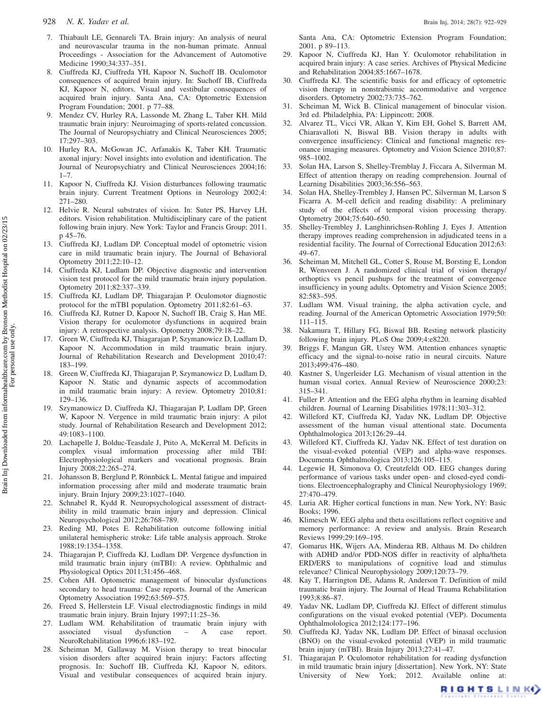- <span id="page-6-0"></span>7. Thiabault LE, Gennareli TA. Brain injury: An analysis of neural and neurovascular trauma in the non-human primate. Annual Proceedings - Association for the Advancement of Automotive Medicine 1990;34:337–351.
- 8. Ciuffreda KJ, Ciuffreda YH, Kapoor N, Suchoff IB. Oculomotor consequences of acquired brain injury. In: Suchoff IB, Ciuffreda KJ, Kapoor N, editors. Visual and vestibular consequences of acquired brain injury. Santa Ana, CA: Optometric Extension Program Foundation; 2001. p 77–88.
- 9. Mendez CV, Hurley RA, Lassonde M, Zhang L, Taber KH. Mild traumatic brain injury: Neuroimaging of sports-related concussion. The Journal of Neuropsychiatry and Clinical Neurosciences 2005; 17:297–303.
- 10. Hurley RA, McGowan JC, Arfanakis K, Taber KH. Traumatic axonal injury: Novel insights into evolution and identification. The Journal of Neuropsychiatry and Clinical Neurosciences 2004;16: 1–7.
- 11. Kapoor N, Ciuffreda KJ. Vision disturbances following traumatic brain injury. Current Treatment Options in Neurology 2002;4: 271–280.
- 12. Helvie R. Neural substrates of vision. In: Suter PS, Harvey LH, editors. Vision rehabilitation. Multidisciplinary care of the patient following brain injury. New York: Taylor and Francis Group; 2011. p 45–76.
- 13. Ciuffreda KJ, Ludlam DP. Conceptual model of optometric vision care in mild traumatic brain injury. The Journal of Behavioral Optometry 2011;22:10–12.
- 14. Ciuffreda KJ, Ludlam DP. Objective diagnostic and intervention vision test protocol for the mild traumatic brain injury population. Optometry 2011;82:337–339.
- 15. Ciuffreda KJ, Ludlam DP, Thiagarajan P. Oculomotor diagnostic protocol for the mTBI population. Optometry 2011;82:61–63.
- 16. Ciuffreda KJ, Rutner D, Kapoor N, Suchoff IB, Craig S, Han ME. Vision therapy for oculomotor dysfunctions in acquired brain injury: A retrospective analysis. Optometry 2008;79:18–22.
- 17. Green W, Ciuffreda KJ, Thiagarajan P, Szymanowicz D, Ludlam D, Kapoor N. Accommodation in mild traumatic brain injury. Journal of Rehabilitation Research and Development 2010;47: 183–199.
- 18. Green W, Ciuffreda KJ, Thiagarajan P, Szymanowicz D, Ludlam D, Kapoor N. Static and dynamic aspects of accommodation in mild traumatic brain injury: A review. Optometry 2010;81: 129–136.
- 19. Szymanowicz D, Ciuffreda KJ, Thiagarajan P, Ludlam DP, Green W, Kapoor N. Vergence in mild traumatic brain injury: A pilot study. Journal of Rehabilitation Research and Development 2012; 49:1083–1100.
- 20. Lachapelle J, Bolduc-Teasdale J, Ptito A, McKerral M. Deficits in complex visual imformation processing after mild TBI: Electrophysiological markers and vocational prognosis. Brain Injury 2008;22:265–274.
- 21. Johansson B, Berglund P, Rönnbäck L. Mental fatigue and impaired information processing after mild and moderate traumatic brain injury. Brain Injury 2009;23:1027–1040.
- 22. Schnabel R, Kydd R. Neuropsychological assessment of distractibility in mild traumatic brain injury and depression. Clinical Neuropsychological 2012;26:768–789.
- 23. Reding MJ, Potes E. Rehabilitation outcome following initial unilateral hemispheric stroke: Life table analysis approach. Stroke 1988;19:1354–1358.
- 24. Thiagarajan P, Ciuffreda KJ, Ludlam DP. Vergence dysfunction in mild traumatic brain injury (mTBI): A review. Ophthalmic and Physiological Optics 2011;31:456–468.
- 25. Cohen AH. Optometric management of binocular dysfunctions secondary to head trauma: Case reports. Journal of the American Optometry Association 1992;63:569–575.
- 26. Freed S, Hellerstein LF. Visual electrodiagnostic findings in mild traumatic brain injury. Brain Injury 1997;11:25–36.
- 27. Ludlam WM. Rehabilitation of traumatic brain injury with associated visual dysfunction – A case report. NeuroRehabilitation 1996;6:183–192.
- 28. Scheiman M, Gallaway M. Vision therapy to treat binocular vision disorders after acquired brain injury: Factors affecting prognosis. In: Suchoff IB, Ciuffreda KJ, Kapoor N, editors. Visual and vestibular consequences of acquired brain injury.

Santa Ana, CA: Optometric Extension Program Foundation; 2001. p 89–113.

- 29. Kapoor N, Ciuffreda KJ, Han Y. Oculomotor rehabilitation in acquired brain injury: A case series. Archives of Physical Medicine and Rehabilitation 2004;85:1667–1678.
- 30. Ciuffreda KJ. The scientific basis for and efficacy of optometric vision therapy in nonstrabismic accommodative and vergence disorders. Optometry 2002;73:735–762.
- 31. Scheiman M, Wick B. Clinical management of binocular vision. 3rd ed. Philadelphia, PA: Lippincott; 2008.
- 32. Alvarez TL, Vicci VR, Alkan Y, Kim EH, Gohel S, Barrett AM, Chiaravalloti N, Biswal BB. Vision therapy in adults with convergence insufficiency: Clinical and functional magnetic resonance imaging measures. Optometry and Vision Science 2010;87: 985–1002.
- 33. Solan HA, Larson S, Shelley-Tremblay J, Ficcara A, Silverman M. Effect of attention therapy on reading comprehension. Journal of Learning Disabilities 2003;36:556–563.
- 34. Solan HA, Shelley-Trembley J, Hansen PC, Silverman M, Larson S Ficarra A. M-cell deficit and reading disability: A preliminary study of the effects of temporal vision processing therapy. Optometry 2004;75:640–650.
- 35. Shelley-Trembley J, Langhinrichsen-Rohling J, Eyes J. Attention therapy improves reading comprehension in adjudicated teens in a residential facility. The Journal of Correctional Education 2012;63: 49–67.
- 36. Scheiman M, Mitchell GL, Cotter S, Rouse M, Borsting E, London R, Wensveen J. A randomized clinical trial of vision therapy/ orthoptics vs pencil pushups for the treatment of convergence insufficiency in young adults. Optometry and Vision Science 2005; 82:583–595.
- 37. Ludlam WM. Visual training, the alpha activation cycle, and reading. Journal of the American Optometric Association 1979;50: 111–115.
- 38. Nakamura T, Hillary FG, Biswal BB. Resting network plasticity following brain injury. PLoS One 2009;4:e8220.
- 39. Briggs F, Mangun GR, Usrey WM. Attention enhances synaptic efficacy and the signal-to-noise ratio in neural circuits. Nature 2013;499:476–480.
- 40. Kastner S, Ungerleider LG. Mechanism of visual attention in the human visual cortex. Annual Review of Neuroscience 2000;23: 315–341.
- 41. Fuller P. Attention and the EEG alpha rhythm in learning disabled children. Journal of Learning Disabilities 1978;11:303–312.
- 42. Willeford KT, Ciuffreda KJ, Yadav NK, Ludlam DP. Objective assessment of the human visual attentional state. Documenta Ophthalmologica 2013;126:29–44.
- 43. Willeford KT, Ciuffreda KJ, Yadav NK. Effect of test duration on the visual-evoked potential (VEP) and alpha-wave responses. Documenta Ophthalmologica 2013;126:105–115.
- 44. Legewie H, Simonova O, Creutzfeldt OD. EEG changes during performance of various tasks under open- and closed-eyed conditions. Electroencephalography and Clinical Neurophysiology 1969; 27:470–479.
- 45. Luria AR. Higher cortical functions in man. New York, NY: Basic Books; 1996.
- 46. Klimesch W. EEG alpha and theta oscillations reflect cognitive and memory performance: A review and analysis. Brain Research Reviews 1999;29:169–195.
- 47. Gomarus HK, Wijers AA, Minderaa RB, Althaus M. Do children with ADHD and/or PDD-NOS differ in reactivity of alpha/theta ERD/ERS to manipulations of cognitive load and stimulus relevance? Clinical Neurophysiology 2009;120:73–79.
- 48. Kay T, Harrington DE, Adams R, Anderson T. Definition of mild traumatic brain injury. The Journal of Head Trauma Rehabilitation 1993;8:86–87.
- 49. Yadav NK, Ludlam DP, Ciuffreda KJ. Effect of different stimulus configurations on the visual evoked potential (VEP). Documenta Ophthalmolologica 2012;124:177–196.
- 50. Ciuffreda KJ, Yadav NK, Ludlam DP. Effect of binasal occlusion (BNO) on the visual-evoked potential (VEP) in mild traumatic brain injury (mTBI). Brain Injury 2013;27:41–47.
- 51. Thiagarajan P. Oculomotor rehabilitation for reading dysfunction in mild traumatic brain injury [dissertation]. New York, NY: State University of New York; 2012. Available online at: